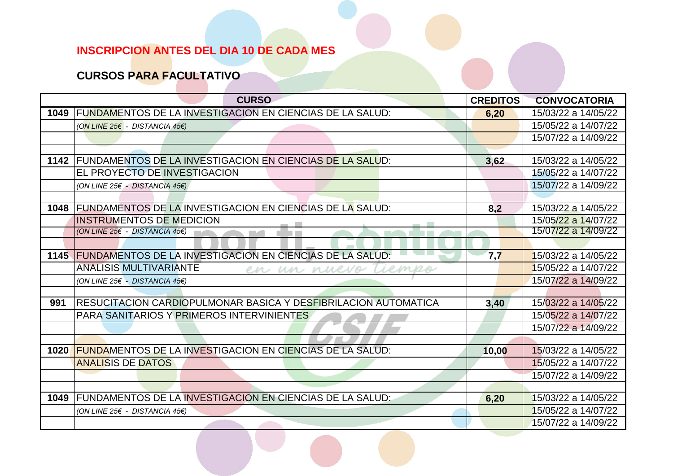## **CURSOS PARA FACULTATIVO**

|      | <b>CURSO</b>                                                    | <b>CREDITOS</b> | <b>CONVOCATORIA</b> |
|------|-----------------------------------------------------------------|-----------------|---------------------|
| 1049 | FUNDAMENTOS DE LA INVESTIGACION EN CIENCIAS DE LA SALUD:        | 6,20            | 15/03/22 a 14/05/22 |
|      | (ON LINE 25€ - DISTANCIA 45€)                                   |                 | 15/05/22 a 14/07/22 |
|      |                                                                 |                 | 15/07/22 a 14/09/22 |
|      |                                                                 |                 |                     |
| 1142 | FUNDAMENTOS DE LA INVESTIGACION EN CIENCIAS DE LA SALUD:        | 3,62            | 15/03/22 a 14/05/22 |
|      | <b>EL PROYECTO DE INVESTIGACION</b>                             |                 | 15/05/22 a 14/07/22 |
|      | (ON LINE 25€ - DISTANCIA 45€)                                   |                 | 15/07/22 a 14/09/22 |
|      |                                                                 |                 |                     |
| 1048 | <b>FUNDAMENTOS DE LA INVESTIGACION EN CIENCIAS DE LA SALUD:</b> | 8,2             | 15/03/22 a 14/05/22 |
|      | <b>INSTRUMENTOS DE MEDICION</b>                                 |                 | 15/05/22 a 14/07/22 |
|      | (ON LINE 25€ - DISTANCIA 45€)                                   |                 | 15/07/22 a 14/09/22 |
|      |                                                                 |                 |                     |
|      | 1145 FUNDAMENTOS DE LA INVESTIGACION EN CIENCIAS DE LA SALUD:   | 7,7             | 15/03/22 a 14/05/22 |
|      | <b>ANALISIS MULTIVARIANTE</b><br>Liemes<br>en un nuevo          |                 | 15/05/22 a 14/07/22 |
|      | (ON LINE 25€ - DISTANCIA 45€)                                   |                 | 15/07/22 a 14/09/22 |
|      |                                                                 |                 |                     |
| 991  | IRESUCITACION CARDIOPULMONAR BASICA Y DESFIBRILACION AUTOMATICA | 3,40            | 15/03/22 a 14/05/22 |
|      | <b>PARA SANITARIOS Y PRIMEROS INTERVINIENTES</b>                |                 | 15/05/22 a 14/07/22 |
|      |                                                                 |                 | 15/07/22 a 14/09/22 |
|      |                                                                 |                 |                     |
| 1020 | <b>FUNDAMENTOS DE LA INVESTIGACION EN CIENCIAS DE LA SALUD:</b> | 10,00           | 15/03/22 a 14/05/22 |
|      | <b>ANALISIS DE DATOS</b>                                        |                 | 15/05/22 a 14/07/22 |
|      |                                                                 |                 | 15/07/22 a 14/09/22 |
|      |                                                                 |                 |                     |
| 1049 | FUNDAMENTOS DE LA INVESTIGACION EN CIENCIAS DE LA SALUD:        | 6,20            | 15/03/22 a 14/05/22 |
|      | (ON LINE 25€ - DISTANCIA 45€)                                   |                 | 15/05/22 a 14/07/22 |
|      |                                                                 |                 | 15/07/22 a 14/09/22 |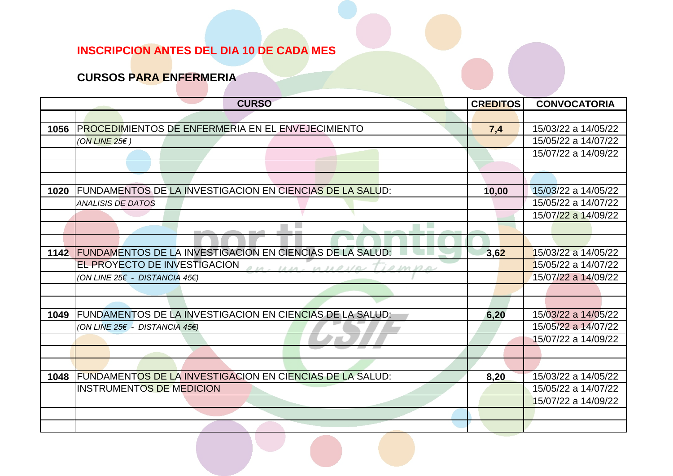#### **CURSOS PARA ENFERMERIA**

|      | <b>CURSO</b>                                                    | <b>CREDITOS</b> | <b>CONVOCATORIA</b> |
|------|-----------------------------------------------------------------|-----------------|---------------------|
|      |                                                                 |                 |                     |
| 1056 | <b>PROCEDIMIENTOS DE ENFERMERIA EN EL ENVEJECIMIENTO</b>        | 7,4             | 15/03/22 a 14/05/22 |
|      | (ON LINE 25 $\epsilon$ )                                        |                 | 15/05/22 a 14/07/22 |
|      |                                                                 |                 | 15/07/22 a 14/09/22 |
|      |                                                                 |                 |                     |
|      |                                                                 |                 |                     |
| 1020 | FUNDAMENTOS DE LA INVESTIGACION EN CIENCIAS DE LA SALUD:        | 10,00           | 15/03/22 a 14/05/22 |
|      | <b>ANALISIS DE DATOS</b>                                        |                 | 15/05/22 a 14/07/22 |
|      |                                                                 |                 | 15/07/22 a 14/09/22 |
|      |                                                                 |                 |                     |
|      |                                                                 |                 |                     |
| 1142 | <b>FUNDAMENTOS DE LA INVESTIGACION EN CIENCIAS DE LA SALUD:</b> | 3,62            | 15/03/22 a 14/05/22 |
|      | EL PROYECTO DE INVESTIGACION<br>Un unevel marsh                 |                 | 15/05/22 a 14/07/22 |
|      | (ON LINE 25€ - DISTANCIA 45€)                                   |                 | 15/07/22 a 14/09/22 |
|      |                                                                 |                 |                     |
|      |                                                                 |                 |                     |
| 1049 | FUNDAMENTOS DE LA INVESTIGACION EN CIENCIAS DE LA SALUD:        | 6,20            | 15/03/22 a 14/05/22 |
|      | (ON LINE 25€ - DISTANCIA 45€)                                   |                 | 15/05/22 a 14/07/22 |
|      |                                                                 |                 | 15/07/22 a 14/09/22 |
|      |                                                                 |                 |                     |
|      |                                                                 |                 |                     |
| 1048 | <b>FUNDAMENTOS DE LA INVESTIGACION EN CIENCIAS DE LA SALUD:</b> | 8,20            | 15/03/22 a 14/05/22 |
|      | <b>INSTRUMENTOS DE MEDICION</b>                                 |                 | 15/05/22 a 14/07/22 |
|      |                                                                 |                 | 15/07/22 a 14/09/22 |
|      |                                                                 |                 |                     |
|      |                                                                 |                 |                     |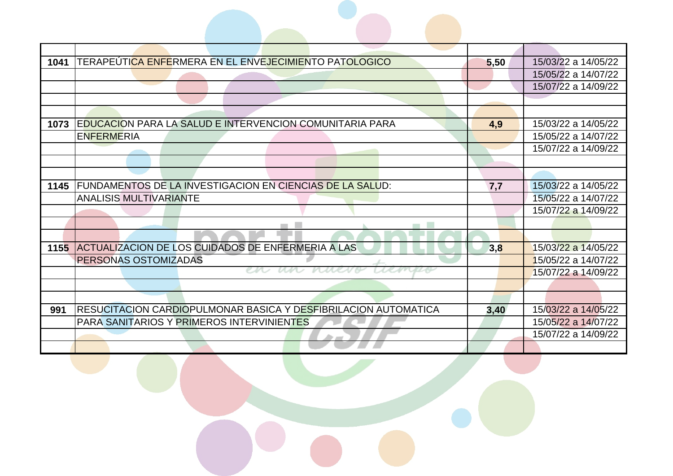| 1041 | TERAPEÚTI <mark>CA ENFE</mark> RMERA EN EL ENVEJECIMIENTO PATOLOGICO | 5,50 | 15/03/22 a 14/05/22 |
|------|----------------------------------------------------------------------|------|---------------------|
|      |                                                                      |      | 15/05/22 a 14/07/22 |
|      |                                                                      |      | 15/07/22 a 14/09/22 |
|      |                                                                      |      |                     |
|      |                                                                      |      |                     |
| 1073 | EDUCACION PARA LA SALUD E INTERVENCION COMUNITARIA PARA              | 4,9  | 15/03/22 a 14/05/22 |
|      | <b>ENFERMERIA</b>                                                    |      | 15/05/22 a 14/07/22 |
|      |                                                                      |      | 15/07/22 a 14/09/22 |
|      |                                                                      |      |                     |
|      |                                                                      |      |                     |
| 1145 | FUNDAMENTOS DE LA INVESTIGACION EN CIENCIAS DE LA SALUD:             | 7,7  | 15/03/22 a 14/05/22 |
|      | <b>ANALISIS MULTIVARIANTE</b>                                        |      | 15/05/22 a 14/07/22 |
|      |                                                                      |      | 15/07/22 a 14/09/22 |
|      | ٠                                                                    |      |                     |
|      |                                                                      |      |                     |
| 1155 | ACTUALIZACION DE LOS CUIDADOS DE ENFERMERIA A LAS                    | 3,8  | 15/03/22 a 14/05/22 |
|      | <b>PERSONAS OSTOMIZADAS</b>                                          |      | 15/05/22 a 14/07/22 |
|      |                                                                      |      | 15/07/22 a 14/09/22 |
|      |                                                                      |      |                     |
|      |                                                                      |      |                     |
| 991  | RESUCITACION CARDIOPULMONAR BASICA Y DESFIBRILACION AUTOMATICA       | 3,40 | 15/03/22 a 14/05/22 |
|      | PARA SANITARIOS Y PRIMEROS INTERVINIENTES                            |      | 15/05/22 a 14/07/22 |
|      |                                                                      |      | 15/07/22 a 14/09/22 |
|      |                                                                      |      |                     |

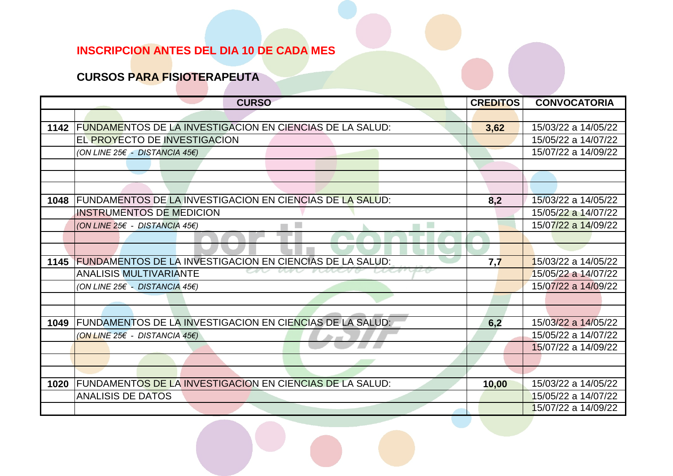#### **CURSOS PARA FISIOTERAPEUTA**

|      | <b>CURSO</b>                                                    | <b>CREDITOS</b> | <b>CONVOCATORIA</b> |
|------|-----------------------------------------------------------------|-----------------|---------------------|
|      |                                                                 |                 |                     |
| 1142 | <b>FUNDAMENTOS DE LA INVESTIGACION EN CIENCIAS DE LA SALUD:</b> | 3,62            | 15/03/22 a 14/05/22 |
|      | EL PROYECTO DE INVESTIGACION                                    |                 | 15/05/22 a 14/07/22 |
|      | (ON LINE 25€ - DISTANCIA 45€)                                   |                 | 15/07/22 a 14/09/22 |
|      |                                                                 |                 |                     |
|      |                                                                 |                 |                     |
|      |                                                                 |                 |                     |
| 1048 | <b>FUNDAMENTOS DE LA INVESTIGACION EN CIENCIAS DE LA SALUD:</b> | 8,2             | 15/03/22 a 14/05/22 |
|      | <b>INSTRUMENTOS DE MEDICION</b>                                 |                 | 15/05/22 a 14/07/22 |
|      | (ON LINE 25€ - DISTANCIA 45€)<br><b>The State</b>               |                 | 15/07/22 a 14/09/22 |
|      |                                                                 |                 |                     |
|      |                                                                 |                 |                     |
| 1145 | <b>FUNDAMENTOS DE LA INVESTIGACION EN CIENCIAS DE LA SALUD:</b> | 7,7             | 15/03/22 a 14/05/22 |
|      | <b>ANALISIS MULTIVARIANTE</b>                                   |                 | 15/05/22 a 14/07/22 |
|      | (ON LINE 25€ - DISTANCIA 45€)                                   |                 | 15/07/22 a 14/09/22 |
|      |                                                                 |                 |                     |
|      |                                                                 |                 |                     |
| 1049 | FUNDAMENTOS DE LA INVESTIGACION EN CIENCIAS DE LA SALUD:        | 6,2             | 15/03/22 a 14/05/22 |
|      | (ON LINE 25€ - DISTANCIA 45€)                                   |                 | 15/05/22 a 14/07/22 |
|      |                                                                 |                 | 15/07/22 a 14/09/22 |
|      |                                                                 |                 |                     |
|      |                                                                 |                 |                     |
| 1020 | FUNDAMENTOS DE LA INVESTIGACION EN CIENCIAS DE LA SALUD:        | 10,00           | 15/03/22 a 14/05/22 |
|      | <b>ANALISIS DE DATOS</b>                                        |                 | 15/05/22 a 14/07/22 |
|      |                                                                 |                 | 15/07/22 a 14/09/22 |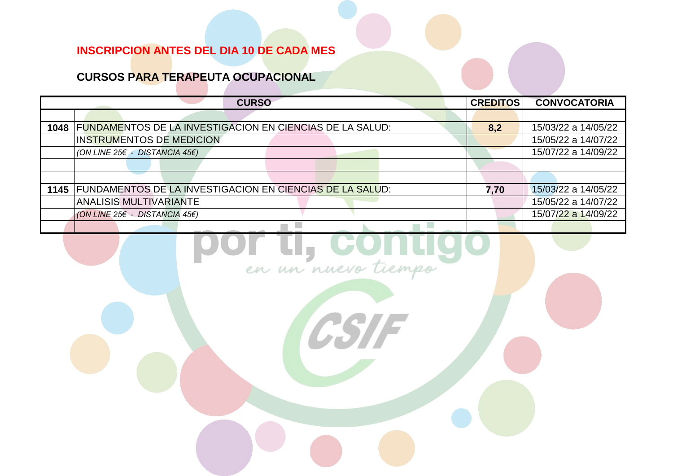#### **CURSOS PARA TERAPEUTA OCUPACIONAL**

|      | <b>CURSO</b>                                                    | <b>CREDITOS</b> | <b>CONVOCATORIA</b> |
|------|-----------------------------------------------------------------|-----------------|---------------------|
|      |                                                                 |                 |                     |
| 1048 | <b>FUNDAMENTOS DE LA INVESTIGACION EN CIENCIAS DE LA SALUD:</b> | 8,2             | 15/03/22 a 14/05/22 |
|      | <b>INSTRUMENTOS DE MEDICION</b>                                 |                 | 15/05/22 a 14/07/22 |
|      | (ON LINE 25 $\xi$ - DISTANCIA 45 $\xi$ )                        |                 | 15/07/22 a 14/09/22 |
|      |                                                                 |                 |                     |
|      |                                                                 |                 |                     |
| 1145 | FUNDAMENTOS DE LA INVESTIGACION EN CIENCIAS DE LA SALUD:        | 7,70            | 15/03/22 a 14/05/22 |
|      | <b>ANALISIS MULTIVARIANTE</b>                                   |                 | 15/05/22 a 14/07/22 |
|      | (ON LINE 25€ - DISTANCIA 45€)                                   |                 | 15/07/22 a 14/09/22 |
|      |                                                                 |                 |                     |
|      |                                                                 |                 |                     |

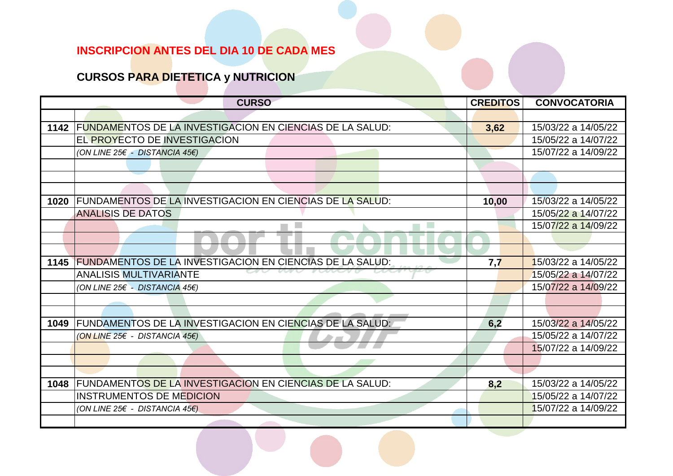## **CURSOS PARA DIETETICA y NUTRICION**

|      | <b>CURSO</b>                                                  | <b>CREDITOS</b> | <b>CONVOCATORIA</b> |
|------|---------------------------------------------------------------|-----------------|---------------------|
|      |                                                               |                 |                     |
|      | 1142 FUNDAMENTOS DE LA INVESTIGACION EN CIENCIAS DE LA SALUD: | 3,62            | 15/03/22 a 14/05/22 |
|      | EL PROYECTO DE INVESTIGACION                                  |                 | 15/05/22 a 14/07/22 |
|      | (ON LINE 25€ - DISTANCIA 45€)                                 |                 | 15/07/22 a 14/09/22 |
|      |                                                               |                 |                     |
|      |                                                               |                 |                     |
|      |                                                               |                 |                     |
| 1020 | FUNDAMENTOS DE LA INVESTIGACION EN CIENCIAS DE LA SALUD:      | 10,00           | 15/03/22 a 14/05/22 |
|      | <b>ANALISIS DE DATOS</b>                                      |                 | 15/05/22 a 14/07/22 |
|      |                                                               |                 | 15/07/22 a 14/09/22 |
|      |                                                               |                 |                     |
|      |                                                               |                 |                     |
| 1145 | FUNDAMENTOS DE LA INVESTIGACION EN CIENCIAS DE LA SALUD:      | 7,7             | 15/03/22 a 14/05/22 |
|      | <b>ANALISIS MULTIVARIANTE</b>                                 |                 | 15/05/22 a 14/07/22 |
|      | (ON LINE 25€ - DISTANCIA 45€)                                 |                 | 15/07/22 a 14/09/22 |
|      |                                                               |                 |                     |
|      |                                                               |                 |                     |
| 1049 | FUNDAMENTOS DE LA INVESTIGACION EN CIENCIAS DE LA SALUD:      | 6,2             | 15/03/22 a 14/05/22 |
|      | (ON LINE 25€ - DISTANCIA 45€)                                 |                 | 15/05/22 a 14/07/22 |
|      |                                                               |                 | 15/07/22 a 14/09/22 |
|      |                                                               |                 |                     |
|      |                                                               |                 |                     |
| 1048 | FUNDAMENTOS DE LA INVESTIGACION EN CIENCIAS DE LA SALUD:      | 8,2             | 15/03/22 a 14/05/22 |
|      | <b>INSTRUMENTOS DE MEDICION</b>                               |                 | 15/05/22 a 14/07/22 |
|      | (ON LINE 25€ - DISTANCIA 45€)                                 |                 | 15/07/22 a 14/09/22 |
|      |                                                               |                 |                     |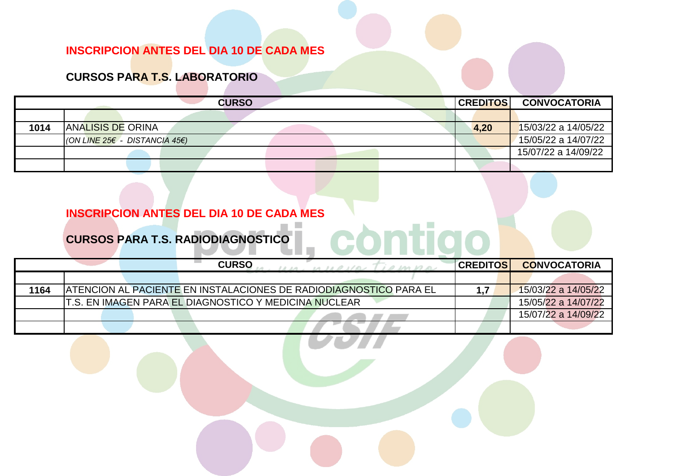#### **CURSOS PARA T.S. LABORATORIO**

|      |                               | <b>CURSO</b> |  |  | <b>CREDITOS</b> | <b>CONVOCATORIA</b> |
|------|-------------------------------|--------------|--|--|-----------------|---------------------|
|      |                               |              |  |  |                 |                     |
| 1014 | <b>ANALISIS DE ORINA</b>      |              |  |  | 4,20            | 15/03/22 a 14/05/22 |
|      | (ON LINE 25€ - DISTANCIA 45€) |              |  |  |                 | 15/05/22 a 14/07/22 |
|      |                               |              |  |  |                 | 15/07/22 a 14/09/22 |
|      |                               |              |  |  |                 |                     |

#### **INSCRIPCION ANTES DEL DIA 10 DE CADA MES**

# CURSOS PARA T.S. RADIODIAGNOSTICO

|      |  | <b>CURSO</b>                                           | $11.14 - 14.11.01101$<br>0.1001000                                 | <b>CREDITOSI</b> | <b>CONVOCATORIA</b> |
|------|--|--------------------------------------------------------|--------------------------------------------------------------------|------------------|---------------------|
|      |  |                                                        |                                                                    |                  |                     |
| 1164 |  |                                                        | IATENCION AL PACIENTE EN INSTALACIONES DE RADIODIAGNOSTICO PARA EL |                  | 15/03/22 a 14/05/22 |
|      |  | T.S. EN IMAGEN PARA EL DIAGNOSTICO Y MEDICINA NUCLEAR. |                                                                    |                  | 15/05/22 a 14/07/22 |
|      |  |                                                        |                                                                    |                  | 15/07/22 a 14/09/22 |
|      |  |                                                        |                                                                    |                  |                     |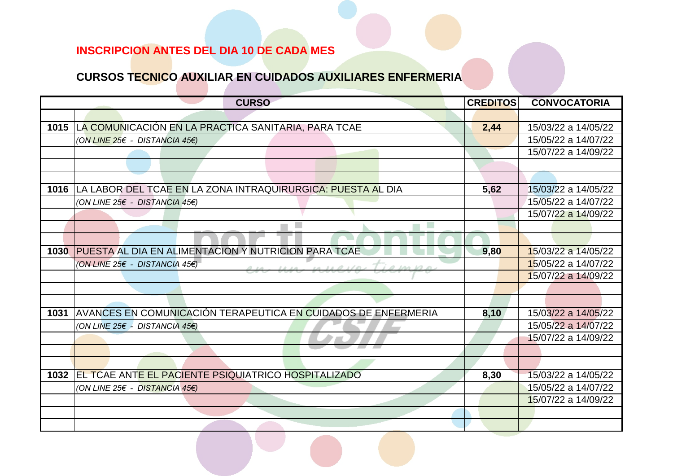#### **CURSOS TECNICO AUXILIAR EN CUIDADOS AUXILIARES ENFERMERIA**

|      | <b>CURSO</b>                                                  | <b>CREDITOS</b> | <b>CONVOCATORIA</b> |
|------|---------------------------------------------------------------|-----------------|---------------------|
|      |                                                               |                 |                     |
| 1015 | LA COMUNICACIÓN EN LA PRACTICA SANITARIA, PARA TCAE           | 2,44            | 15/03/22 a 14/05/22 |
|      | (ON LINE 25€ - DISTANCIA 45€)                                 |                 | 15/05/22 a 14/07/22 |
|      |                                                               |                 | 15/07/22 a 14/09/22 |
|      |                                                               |                 |                     |
|      |                                                               |                 |                     |
| 1016 | LA LABOR DEL TCAE EN LA ZONA INTRAQUIRURGICA: PUESTA AL DIA   | 5,62            | 15/03/22 a 14/05/22 |
|      | (ON LINE 25€ - DISTANCIA 45€)                                 |                 | 15/05/22 a 14/07/22 |
|      |                                                               |                 | 15/07/22 a 14/09/22 |
|      |                                                               |                 |                     |
|      |                                                               |                 |                     |
| 1030 | PUESTA AL DIA EN ALIMENTACION Y NUTRICION PARA TCAE           | 9,80            | 15/03/22 a 14/05/22 |
|      | (ON LINE 25€ - DISTANCIA 45€)<br>101000<br>$1112 - 121111111$ |                 | 15/05/22 a 14/07/22 |
|      |                                                               |                 | 15/07/22 a 14/09/22 |
|      |                                                               |                 |                     |
|      |                                                               |                 |                     |
| 1031 | AVANCES EN COMUNICACIÓN TERAPEUTICA EN CUIDADOS DE ENFERMERIA | 8,10            | 15/03/22 a 14/05/22 |
|      | (ON LINE 25€ - DISTANCIA 45€)                                 |                 | 15/05/22 a 14/07/22 |
|      |                                                               |                 | 15/07/22 a 14/09/22 |
|      |                                                               |                 |                     |
|      |                                                               |                 |                     |
| 1032 | EL TCAE ANTE EL PACIENTE PSIQUIATRICO HOSPITALIZADO           | 8,30            | 15/03/22 a 14/05/22 |
|      | (ON LINE 25€ - DISTANCIA 45€)                                 |                 | 15/05/22 a 14/07/22 |
|      |                                                               |                 | 15/07/22 a 14/09/22 |
|      |                                                               |                 |                     |
|      |                                                               |                 |                     |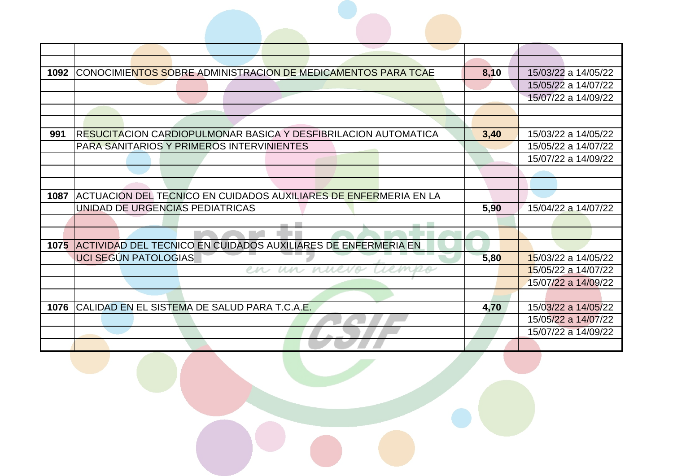| 1092 | CONOCIMIENTOS SOBRE ADMINISTRACION DE MEDICAMENTOS PARA TCAE       | 8,10 | 15/03/22 a 14/05/22 |
|------|--------------------------------------------------------------------|------|---------------------|
|      |                                                                    |      | 15/05/22 a 14/07/22 |
|      |                                                                    |      | 15/07/22 a 14/09/22 |
|      |                                                                    |      |                     |
|      |                                                                    |      |                     |
| 991  | RESUCITACION CARDIOPULMONAR BASICA Y DESFIBRILACION AUTOMATICA     | 3,40 | 15/03/22 a 14/05/22 |
|      | <b>PARA SANITARIOS Y PRIMEROS INTERVINIENTES</b>                   |      | 15/05/22 a 14/07/22 |
|      |                                                                    |      | 15/07/22 a 14/09/22 |
|      |                                                                    |      |                     |
|      |                                                                    |      |                     |
| 1087 | ACTUACION DEL TECNICO EN CUIDADOS AUXILIARES DE ENFERMERIA EN LA   |      |                     |
|      | UNIDAD DE URGENCIAS PEDIATRICAS                                    | 5,90 | 15/04/22 a 14/07/22 |
|      |                                                                    |      |                     |
|      |                                                                    |      |                     |
|      | 1075 ACTIVIDAD DEL TECNICO EN CUIDADOS AUXILIARES DE ENFERMERIA EN |      |                     |
|      | UCI SEGÚN PATOLOGIAS                                               | 5,80 | 15/03/22 a 14/05/22 |
|      | un nuevo Liem<br>en                                                |      | 15/05/22 a 14/07/22 |
|      |                                                                    |      | 15/07/22 a 14/09/22 |
|      |                                                                    |      |                     |
| 1076 | CALIDAD EN EL SISTEMA DE SALUD PARA T.C.A.E.                       | 4,70 | 15/03/22 a 14/05/22 |
|      |                                                                    |      | 15/05/22 a 14/07/22 |
|      |                                                                    |      | 15/07/22 a 14/09/22 |
|      |                                                                    |      |                     |